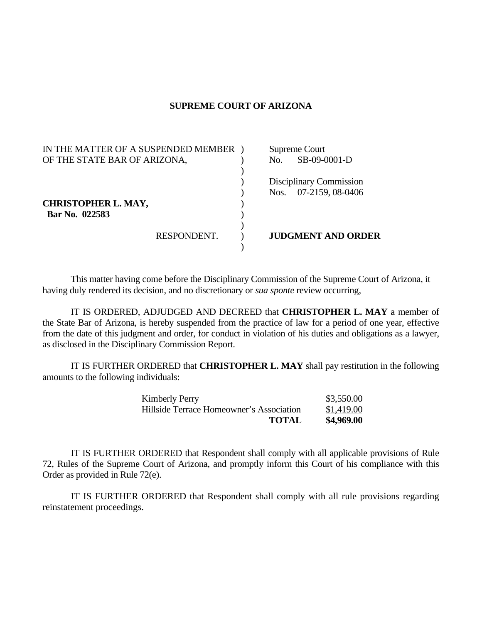## **SUPREME COURT OF ARIZONA**

| IN THE MATTER OF A SUSPENDED MEMBER<br>OF THE STATE BAR OF ARIZONA, |             | No. | Supreme Court<br>SB-09-0001-D                    |
|---------------------------------------------------------------------|-------------|-----|--------------------------------------------------|
| <b>CHRISTOPHER L. MAY,</b><br>Bar No. 022583                        |             |     | Disciplinary Commission<br>Nos. 07-2159, 08-0406 |
|                                                                     | RESPONDENT. |     | <b>JUDGMENT AND ORDER</b>                        |

This matter having come before the Disciplinary Commission of the Supreme Court of Arizona, it having duly rendered its decision, and no discretionary or *sua sponte* review occurring,

 IT IS ORDERED, ADJUDGED AND DECREED that **CHRISTOPHER L. MAY** a member of the State Bar of Arizona, is hereby suspended from the practice of law for a period of one year, effective from the date of this judgment and order, for conduct in violation of his duties and obligations as a lawyer, as disclosed in the Disciplinary Commission Report.

 IT IS FURTHER ORDERED that **CHRISTOPHER L. MAY** shall pay restitution in the following amounts to the following individuals:

| <b>Kimberly Perry</b>                    | \$3,550.00 |
|------------------------------------------|------------|
| Hillside Terrace Homeowner's Association | \$1,419.00 |
| <b>TOTAL</b>                             | \$4,969.00 |

 IT IS FURTHER ORDERED that Respondent shall comply with all applicable provisions of Rule 72, Rules of the Supreme Court of Arizona, and promptly inform this Court of his compliance with this Order as provided in Rule 72(e).

 IT IS FURTHER ORDERED that Respondent shall comply with all rule provisions regarding reinstatement proceedings.